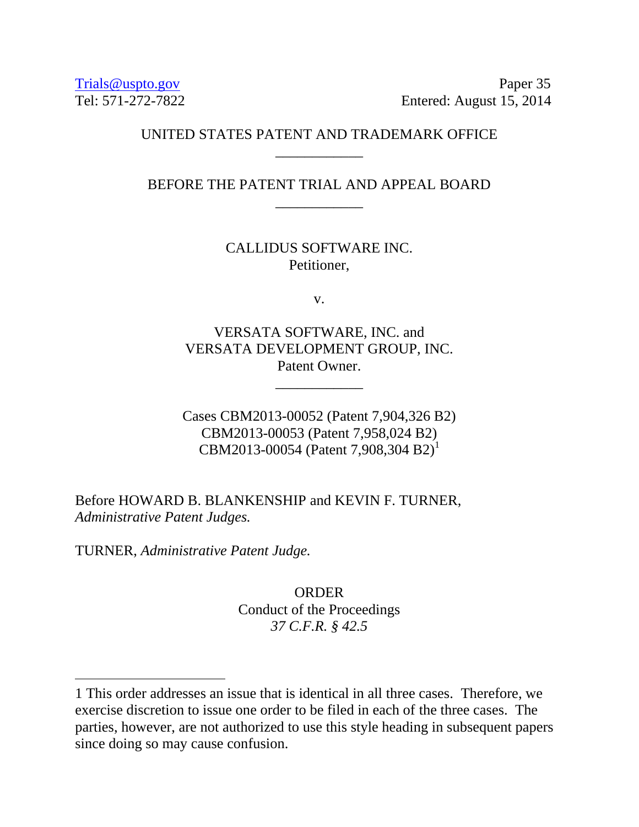[Trials@uspto.gov](mailto:Trials@uspto.gov) Paper 35 Tel: 571-272-7822 Entered: August 15, 2014

## UNITED STATES PATENT AND TRADEMARK OFFICE \_\_\_\_\_\_\_\_\_\_\_\_

BEFORE THE PATENT TRIAL AND APPEAL BOARD \_\_\_\_\_\_\_\_\_\_\_\_

> CALLIDUS SOFTWARE INC. Petitioner,

> > v.

VERSATA SOFTWARE, INC. and VERSATA DEVELOPMENT GROUP, INC. Patent Owner.

\_\_\_\_\_\_\_\_\_\_\_\_

Cases CBM2013-00052 (Patent 7,904,326 B2) CBM2013-00053 (Patent 7,958,024 B2) CBM2013-00054 (Patent 7,908,304 B2)<sup>1</sup>

Before HOWARD B. BLANKENSHIP and KEVIN F. TURNER, *Administrative Patent Judges.*

TURNER, *Administrative Patent Judge.*

 $\overline{a}$ 

**ORDER** Conduct of the Proceedings *37 C.F.R. § 42.5*

<sup>1</sup> This order addresses an issue that is identical in all three cases. Therefore, we exercise discretion to issue one order to be filed in each of the three cases. The parties, however, are not authorized to use this style heading in subsequent papers since doing so may cause confusion.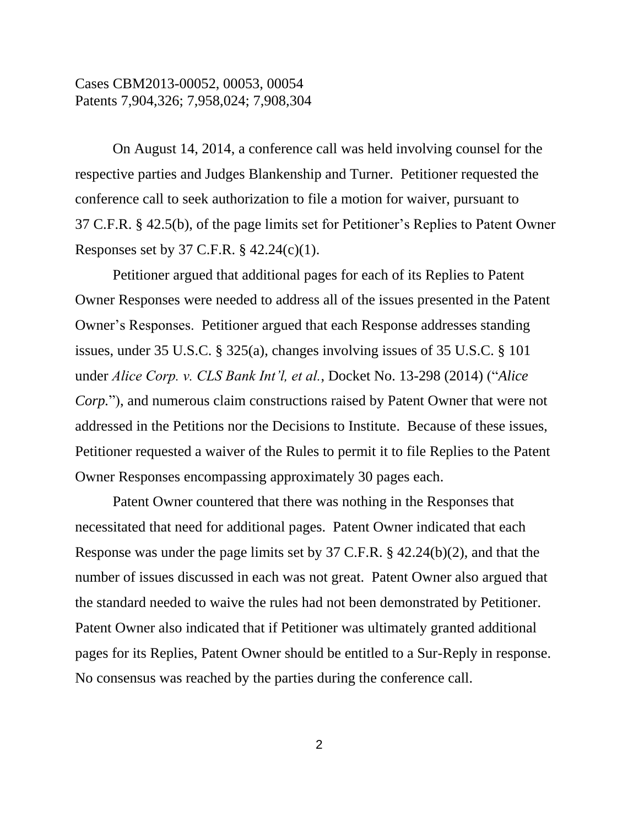On August 14, 2014, a conference call was held involving counsel for the respective parties and Judges Blankenship and Turner. Petitioner requested the conference call to seek authorization to file a motion for waiver, pursuant to 37 C.F.R. § 42.5(b), of the page limits set for Petitioner's Replies to Patent Owner Responses set by 37 C.F.R. § 42.24(c)(1).

Petitioner argued that additional pages for each of its Replies to Patent Owner Responses were needed to address all of the issues presented in the Patent Owner's Responses. Petitioner argued that each Response addresses standing issues, under 35 U.S.C. § 325(a), changes involving issues of 35 U.S.C. § 101 under *Alice Corp. v. CLS Bank Int'l, et al.*, Docket No. 13-298 (2014) ("*Alice Corp.*"), and numerous claim constructions raised by Patent Owner that were not addressed in the Petitions nor the Decisions to Institute. Because of these issues, Petitioner requested a waiver of the Rules to permit it to file Replies to the Patent Owner Responses encompassing approximately 30 pages each.

Patent Owner countered that there was nothing in the Responses that necessitated that need for additional pages. Patent Owner indicated that each Response was under the page limits set by 37 C.F.R. § 42.24(b)(2), and that the number of issues discussed in each was not great. Patent Owner also argued that the standard needed to waive the rules had not been demonstrated by Petitioner. Patent Owner also indicated that if Petitioner was ultimately granted additional pages for its Replies, Patent Owner should be entitled to a Sur-Reply in response. No consensus was reached by the parties during the conference call.

2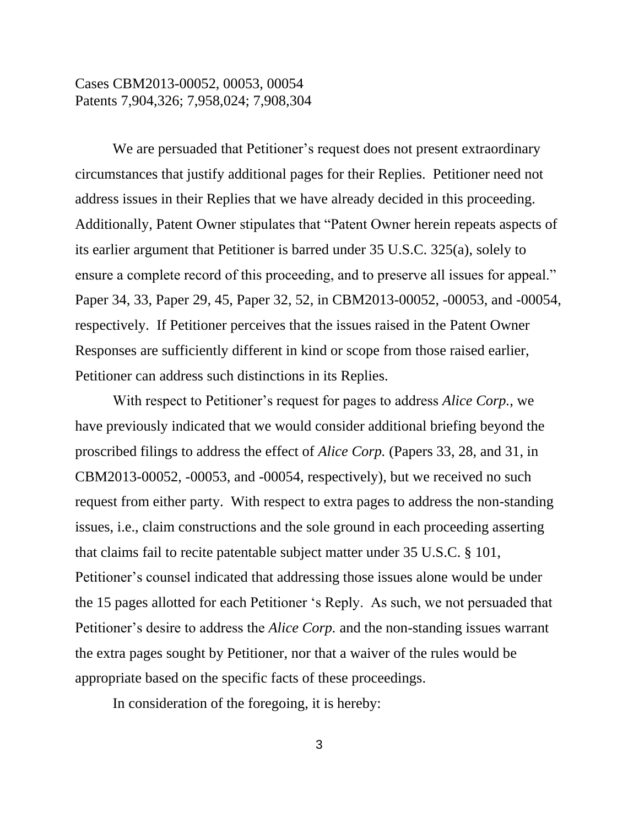We are persuaded that Petitioner's request does not present extraordinary circumstances that justify additional pages for their Replies. Petitioner need not address issues in their Replies that we have already decided in this proceeding. Additionally, Patent Owner stipulates that "Patent Owner herein repeats aspects of its earlier argument that Petitioner is barred under 35 U.S.C. 325(a), solely to ensure a complete record of this proceeding, and to preserve all issues for appeal." Paper 34, 33, Paper 29, 45, Paper 32, 52, in CBM2013-00052, -00053, and -00054, respectively. If Petitioner perceives that the issues raised in the Patent Owner Responses are sufficiently different in kind or scope from those raised earlier, Petitioner can address such distinctions in its Replies.

With respect to Petitioner's request for pages to address *Alice Corp.*, we have previously indicated that we would consider additional briefing beyond the proscribed filings to address the effect of *Alice Corp.* (Papers 33, 28, and 31, in CBM2013-00052, -00053, and -00054, respectively), but we received no such request from either party. With respect to extra pages to address the non-standing issues, i.e., claim constructions and the sole ground in each proceeding asserting that claims fail to recite patentable subject matter under 35 U.S.C. § 101, Petitioner's counsel indicated that addressing those issues alone would be under the 15 pages allotted for each Petitioner 's Reply. As such, we not persuaded that Petitioner's desire to address the *Alice Corp.* and the non-standing issues warrant the extra pages sought by Petitioner, nor that a waiver of the rules would be appropriate based on the specific facts of these proceedings.

In consideration of the foregoing, it is hereby: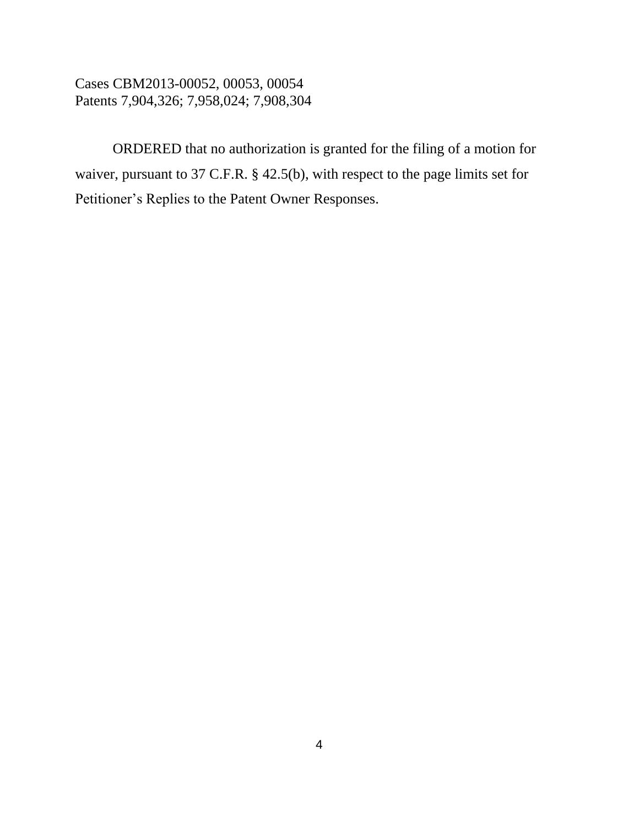ORDERED that no authorization is granted for the filing of a motion for waiver, pursuant to 37 C.F.R. § 42.5(b), with respect to the page limits set for Petitioner's Replies to the Patent Owner Responses.